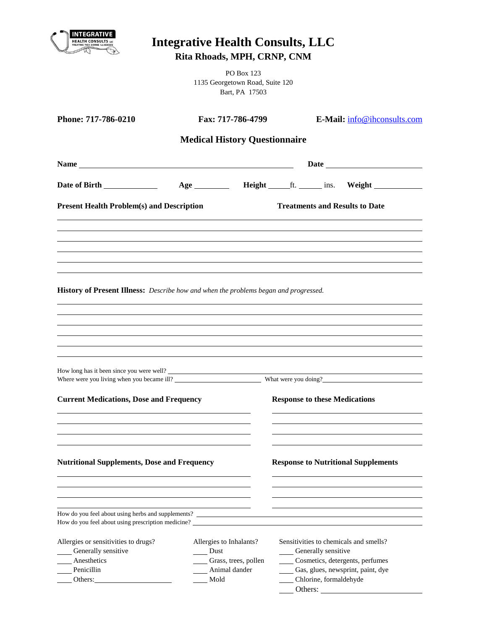| INTEGRATIVE<br><b>HEALTH CONSULTS LLC</b><br>TREATING TICK-BORNE ILLNESSES                                                                | <b>Integrative Health Consults, LLC</b><br>Rita Rhoads, MPH, CRNP, CNM                        |                                                                 |                                                                                                                                                                                                                                      |  |
|-------------------------------------------------------------------------------------------------------------------------------------------|-----------------------------------------------------------------------------------------------|-----------------------------------------------------------------|--------------------------------------------------------------------------------------------------------------------------------------------------------------------------------------------------------------------------------------|--|
|                                                                                                                                           |                                                                                               | PO Box 123<br>1135 Georgetown Road, Suite 120<br>Bart, PA 17503 |                                                                                                                                                                                                                                      |  |
| Phone: 717-786-0210                                                                                                                       | Fax: 717-786-4799                                                                             |                                                                 | E-Mail: info@ihconsults.com                                                                                                                                                                                                          |  |
|                                                                                                                                           | <b>Medical History Questionnaire</b>                                                          |                                                                 |                                                                                                                                                                                                                                      |  |
|                                                                                                                                           |                                                                                               |                                                                 | Date <u>such and the set of the set of the set of the set of the set of the set of the set of the set of the set of the set of the set of the set of the set of the set of the set of the set of the set of the set of the set o</u> |  |
|                                                                                                                                           |                                                                                               |                                                                 | Age ___________ Height _______ ft. _______ ins. Weight __________________________                                                                                                                                                    |  |
| <b>Present Health Problem(s) and Description</b>                                                                                          |                                                                                               |                                                                 | <b>Treatments and Results to Date</b>                                                                                                                                                                                                |  |
|                                                                                                                                           |                                                                                               |                                                                 |                                                                                                                                                                                                                                      |  |
|                                                                                                                                           |                                                                                               |                                                                 |                                                                                                                                                                                                                                      |  |
|                                                                                                                                           |                                                                                               |                                                                 |                                                                                                                                                                                                                                      |  |
| How long has it been since you were well?<br>Where were you living when you became ill?<br><b>Current Medications, Dose and Frequency</b> |                                                                                               |                                                                 | What were you doing?<br><b>Response to these Medications</b>                                                                                                                                                                         |  |
|                                                                                                                                           |                                                                                               |                                                                 |                                                                                                                                                                                                                                      |  |
| <b>Nutritional Supplements, Dose and Frequency</b>                                                                                        |                                                                                               |                                                                 | <b>Response to Nutritional Supplements</b>                                                                                                                                                                                           |  |
|                                                                                                                                           |                                                                                               |                                                                 |                                                                                                                                                                                                                                      |  |
| Allergies or sensitivities to drugs?<br>Cenerally sensitive<br>Anesthetics<br>Penicillin                                                  | Allergies to Inhalants?<br>$\rule{1em}{0.15mm}$ Dust<br>Crass, trees, pollen<br>Animal dander |                                                                 | Sensitivities to chemicals and smells?<br>____ Generally sensitive<br>Cosmetics, detergents, perfumes<br>Gas, glues, newsprint, paint, dye                                                                                           |  |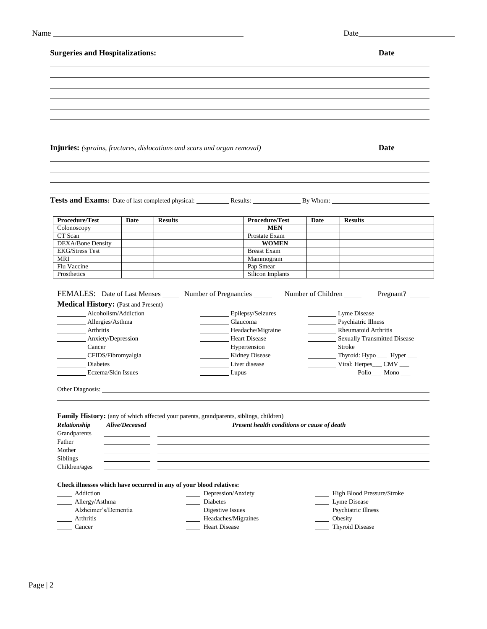| Name | Date |
|------|------|
|------|------|

# **Surgeries and Hospitalizations: Date**

| <b>Injuries:</b> (sprains, fractures, dislocations and scars and organ removal)                                                                                                                                                                                                                                                                                                                                                                                                                                               |                |                |                               |                                             |                    | Date                                                                                         |
|-------------------------------------------------------------------------------------------------------------------------------------------------------------------------------------------------------------------------------------------------------------------------------------------------------------------------------------------------------------------------------------------------------------------------------------------------------------------------------------------------------------------------------|----------------|----------------|-------------------------------|---------------------------------------------|--------------------|----------------------------------------------------------------------------------------------|
|                                                                                                                                                                                                                                                                                                                                                                                                                                                                                                                               |                |                |                               |                                             |                    |                                                                                              |
|                                                                                                                                                                                                                                                                                                                                                                                                                                                                                                                               |                |                |                               |                                             |                    |                                                                                              |
|                                                                                                                                                                                                                                                                                                                                                                                                                                                                                                                               |                |                |                               |                                             |                    |                                                                                              |
|                                                                                                                                                                                                                                                                                                                                                                                                                                                                                                                               |                |                |                               |                                             |                    | <b>Tests and Exams:</b> Date of last completed physical: Results: Results: Results: By Whom: |
| Procedure/Test                                                                                                                                                                                                                                                                                                                                                                                                                                                                                                                | Date           | <b>Results</b> |                               | Procedure/Test                              | Date               | <b>Results</b>                                                                               |
| Colonoscopy                                                                                                                                                                                                                                                                                                                                                                                                                                                                                                                   |                |                |                               | <b>MEN</b>                                  |                    |                                                                                              |
| CT Scan<br><b>DEXA/Bone Density</b>                                                                                                                                                                                                                                                                                                                                                                                                                                                                                           |                |                |                               | Prostate Exam<br><b>WOMEN</b>               |                    |                                                                                              |
| <b>EKG/Stress Test</b>                                                                                                                                                                                                                                                                                                                                                                                                                                                                                                        |                |                |                               | <b>Breast Exam</b>                          |                    |                                                                                              |
| <b>MRI</b>                                                                                                                                                                                                                                                                                                                                                                                                                                                                                                                    |                |                |                               | Mammogram                                   |                    |                                                                                              |
| Flu Vaccine                                                                                                                                                                                                                                                                                                                                                                                                                                                                                                                   |                |                |                               | Pap Smear                                   |                    |                                                                                              |
| Prosthetics                                                                                                                                                                                                                                                                                                                                                                                                                                                                                                                   |                |                |                               | Silicon Implants                            |                    |                                                                                              |
|                                                                                                                                                                                                                                                                                                                                                                                                                                                                                                                               |                |                | Epilepsy/Seizures             |                                             | Number of Children | Pregnant?<br>Lyme Disease                                                                    |
|                                                                                                                                                                                                                                                                                                                                                                                                                                                                                                                               |                |                | Glaucoma<br>Headache/Migraine |                                             |                    | Psychiatric Illness<br>Rheumatoid Arthritis                                                  |
|                                                                                                                                                                                                                                                                                                                                                                                                                                                                                                                               |                |                | Heart Disease                 |                                             |                    | Sexually Transmitted Disease                                                                 |
|                                                                                                                                                                                                                                                                                                                                                                                                                                                                                                                               |                |                | Hypertension                  |                                             | Stroke             |                                                                                              |
|                                                                                                                                                                                                                                                                                                                                                                                                                                                                                                                               |                |                | <b>Kidney Disease</b>         |                                             |                    | Thyroid: Hypo _____ Hyper ____                                                               |
|                                                                                                                                                                                                                                                                                                                                                                                                                                                                                                                               |                |                | Liver disease                 |                                             |                    | Viral: Herpes___ CMV ___                                                                     |
| Eczema/Skin Issues                                                                                                                                                                                                                                                                                                                                                                                                                                                                                                            |                |                | Lupus                         |                                             |                    | Polio___ Mono__                                                                              |
|                                                                                                                                                                                                                                                                                                                                                                                                                                                                                                                               |                |                |                               |                                             |                    |                                                                                              |
|                                                                                                                                                                                                                                                                                                                                                                                                                                                                                                                               |                |                |                               |                                             |                    |                                                                                              |
|                                                                                                                                                                                                                                                                                                                                                                                                                                                                                                                               | Alive/Deceased |                |                               | Present health conditions or cause of death |                    |                                                                                              |
|                                                                                                                                                                                                                                                                                                                                                                                                                                                                                                                               |                |                |                               |                                             |                    |                                                                                              |
|                                                                                                                                                                                                                                                                                                                                                                                                                                                                                                                               |                |                |                               |                                             |                    |                                                                                              |
|                                                                                                                                                                                                                                                                                                                                                                                                                                                                                                                               |                |                |                               |                                             |                    |                                                                                              |
|                                                                                                                                                                                                                                                                                                                                                                                                                                                                                                                               |                |                |                               |                                             |                    |                                                                                              |
|                                                                                                                                                                                                                                                                                                                                                                                                                                                                                                                               |                |                |                               |                                             |                    |                                                                                              |
|                                                                                                                                                                                                                                                                                                                                                                                                                                                                                                                               |                |                |                               |                                             |                    |                                                                                              |
|                                                                                                                                                                                                                                                                                                                                                                                                                                                                                                                               |                |                | Depression/Anxiety            |                                             |                    | High Blood Pressure/Stroke                                                                   |
|                                                                                                                                                                                                                                                                                                                                                                                                                                                                                                                               |                |                | Diabetes                      |                                             |                    | Lyme Disease                                                                                 |
| <b>Diabetes</b><br>Alzheimer's/Dementia                                                                                                                                                                                                                                                                                                                                                                                                                                                                                       |                |                | Digestive Issues              |                                             |                    | Psychiatric Illness                                                                          |
| FEMALES: Date of Last Menses _______ Number of Pregnancies _______<br><b>Medical History:</b> (Past and Present)<br>Alcoholism/Addiction<br>Allergies/Asthma<br>Arthritis<br>Anxiety/Depression<br>Cancer<br>CFIDS/Fibromyalgia<br>Family History: (any of which affected your parents, grandparents, siblings, children)<br>Relationship<br>Grandparents<br>Father<br>Mother<br>Siblings<br>Children/ages<br>Check illnesses which have occurred in any of your blood relatives:<br>Addiction<br>Allergy/Asthma<br>Arthritis |                |                | Headaches/Migraines           |                                             |                    | Obesity                                                                                      |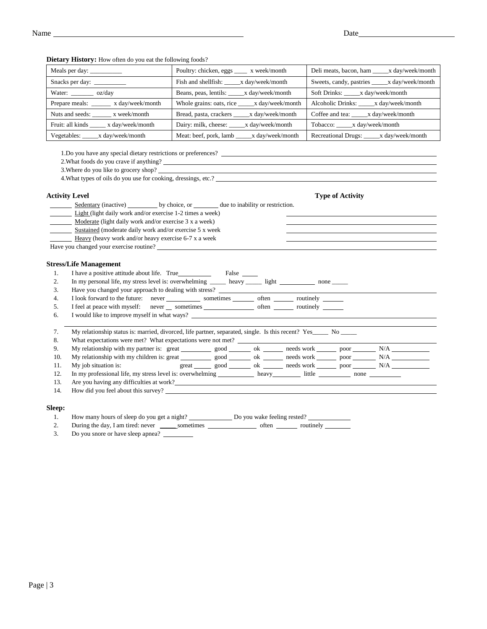Meals per day: \_\_\_\_\_\_\_\_\_\_\_\_\_ Poultry: chicken, eggs \_\_\_\_ x week/month Deli meats, bacon, ham \_\_\_\_x day/week/month Snacks per day: \_\_\_\_\_\_\_\_\_ Fish and shellfish: \_\_\_\_x day/week/month Sweets, candy, pastries \_\_\_\_x day/week/month Water: \_\_\_\_\_\_\_\_ oz/day Beans, peas, lentils: \_\_\_\_x day/week/month Soft Drinks: \_\_\_\_x day/week/month Prepare meals: \_\_\_\_\_\_ x day/week/month Whole grains: oats, rice \_\_\_\_x day/week/month Alcoholic Drinks: \_\_\_\_x day/week/month Nuts and seeds: \_\_\_\_\_\_ x week/month Bread, pasta, crackers \_\_\_\_x day/week/month Coffee and tea: \_\_\_\_x day/week/month Fruit: all kinds \_\_\_\_\_ x day/week/month Dairy: milk, cheese: \_\_\_\_x day/week/month Tobacco: \_\_\_\_x day/week/month Vegetables: \_\_\_\_\_x day/week/month Meat: beef, pork, lamb \_\_\_\_\_x day/week/month Recreational Drugs: \_\_\_\_\_x day/week/month

**Dietary History:** How often do you eat the following foods?

1.Do you have any special dietary restrictions or preferences?

2.What foods do you crave if anything?

3.Where do you like to grocery shop?

4.What types of oils do you use for cooking, dressings, etc.?

### **Activity Level Type of Activity**

Sedentary (inactive) by choice, or due to inability or restriction.

Light (light daily work and/or exercise 1-2 times a week)

Moderate (light daily work and/or exercise 3 x a week)

Sustained (moderate daily work and/or exercise 5 x week

Heavy (heavy work and/or heavy exercise 6-7 x a week

Have you changed your exercise routine?

#### **Stress/Life Management**

1. I have a positive attitude about life. True False

2. In my personal life, my stress level is: overwhelming \_\_\_\_\_ heavy \_\_\_\_\_ light none \_\_\_\_\_ 3. Have you changed your approach to dealing with stress?

4. I look forward to the future: never sometimes often routinely

5. I feel at peace with myself: never \_\_ sometimes \_\_\_\_\_\_\_\_\_\_\_\_\_\_\_\_\_ often \_\_\_\_\_\_\_\_ routinely

6. I would like to improve myself in what ways?

| 7.  | My relationship status is: married, divorced, life partner, separated, single. Is this recent? Yes No                         |  |  |                                                                                |  |  |  |  |  |
|-----|-------------------------------------------------------------------------------------------------------------------------------|--|--|--------------------------------------------------------------------------------|--|--|--|--|--|
| 8.  | What expectations were met? What expectations were not met?                                                                   |  |  |                                                                                |  |  |  |  |  |
| 9.  | My relationship with my partner is: great ____________ good _________ ok ________ needs work ________ poor __________ N/A     |  |  |                                                                                |  |  |  |  |  |
| 10. | My relationship with my children is: great ____________ good __________ ok _________ needs work __________ poor _________ N/A |  |  |                                                                                |  |  |  |  |  |
| 11. | My job situation is:                                                                                                          |  |  | $\text{great}$ good on $\mathbb{R}$ ok needs work neglectron $\text{poor}$ N/A |  |  |  |  |  |
| 12. | In my professional life, my stress level is: overwhelming heavy little none                                                   |  |  |                                                                                |  |  |  |  |  |
| 13. | Are you having any difficulties at work?                                                                                      |  |  |                                                                                |  |  |  |  |  |
| 14. | How did you feel about this survey?                                                                                           |  |  |                                                                                |  |  |  |  |  |

#### **Sleep:**

| How many hours of sleep do you get a night? | Do you wake feeling rested? |
|---------------------------------------------|-----------------------------|

2. During the day, I am tired: never \_\_\_\_\_\_ sometimes \_\_\_\_\_\_\_\_\_\_\_\_\_\_\_\_\_\_ often \_\_\_\_\_\_\_\_ routinely

3. Do you snore or have sleep apnea?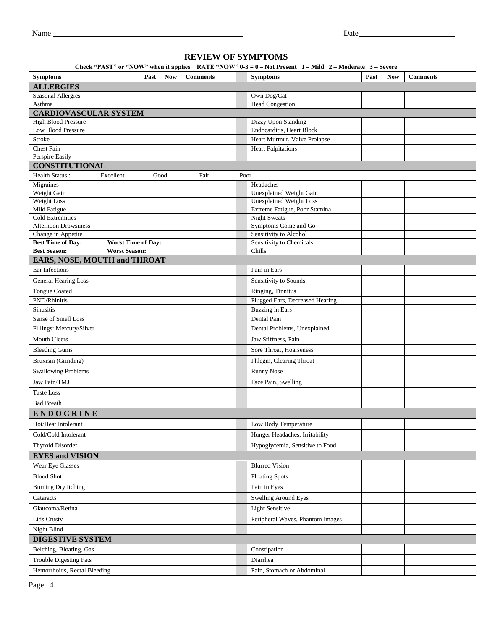## **REVIEW OF SYMPTOMS**

| Check "PAST" or "NOW" when it applies RATE "NOW" $0-3 = 0$ – Not Present 1 – Mild 2 – Moderate 3 – Severe |  |  |  |
|-----------------------------------------------------------------------------------------------------------|--|--|--|
|-----------------------------------------------------------------------------------------------------------|--|--|--|

| <b>Symptoms</b>                                                             | Past | waxa a uppay<br><b>Now</b> | <b>Comments</b> |      | <b>Symptoms</b>                                    | Past | <b>New</b> | <b>Comments</b> |
|-----------------------------------------------------------------------------|------|----------------------------|-----------------|------|----------------------------------------------------|------|------------|-----------------|
| <b>ALLERGIES</b>                                                            |      |                            |                 |      |                                                    |      |            |                 |
| Seasonal Allergies                                                          |      |                            |                 |      | Own Dog/Cat                                        |      |            |                 |
| Asthma                                                                      |      |                            |                 |      | <b>Head Congestion</b>                             |      |            |                 |
| <b>CARDIOVASCULAR SYSTEM</b>                                                |      |                            |                 |      |                                                    |      |            |                 |
| <b>High Blood Pressure</b>                                                  |      |                            |                 |      | Dizzy Upon Standing                                |      |            |                 |
| <b>Low Blood Pressure</b>                                                   |      |                            |                 |      | Endocarditis, Heart Block                          |      |            |                 |
| Stroke                                                                      |      |                            |                 |      | Heart Murmur, Valve Prolapse                       |      |            |                 |
| Chest Pain<br>Perspire Easily                                               |      |                            |                 |      | <b>Heart Palpitations</b>                          |      |            |                 |
| <b>CONSTITUTIONAL</b>                                                       |      |                            |                 |      |                                                    |      |            |                 |
| <b>Health Status:</b><br>Excellent                                          |      | Good                       | Fair            | Poor |                                                    |      |            |                 |
| Migraines                                                                   |      |                            |                 |      | Headaches                                          |      |            |                 |
| Weight Gain                                                                 |      |                            |                 |      | <b>Unexplained Weight Gain</b>                     |      |            |                 |
| Weight Loss                                                                 |      |                            |                 |      | <b>Unexplained Weight Loss</b>                     |      |            |                 |
| Mild Fatigue                                                                |      |                            |                 |      | Extreme Fatigue, Poor Stamina                      |      |            |                 |
| <b>Cold Extremities</b>                                                     |      |                            |                 |      | <b>Night Sweats</b>                                |      |            |                 |
| <b>Afternoon Drowsiness</b>                                                 |      |                            |                 |      | Symptoms Come and Go                               |      |            |                 |
| Change in Appetite<br><b>Best Time of Day:</b><br><b>Worst Time of Day:</b> |      |                            |                 |      | Sensitivity to Alcohol<br>Sensitivity to Chemicals |      |            |                 |
| <b>Worst Season:</b><br><b>Best Season:</b>                                 |      |                            |                 |      | Chills                                             |      |            |                 |
| <b>EARS, NOSE, MOUTH and THROAT</b>                                         |      |                            |                 |      |                                                    |      |            |                 |
| Ear Infections                                                              |      |                            |                 |      | Pain in Ears                                       |      |            |                 |
| General Hearing Loss                                                        |      |                            |                 |      | Sensitivity to Sounds                              |      |            |                 |
| <b>Tongue Coated</b>                                                        |      |                            |                 |      | Ringing, Tinnitus                                  |      |            |                 |
| PND/Rhinitis                                                                |      |                            |                 |      | Plugged Ears, Decreased Hearing                    |      |            |                 |
| <b>Sinusitis</b>                                                            |      |                            |                 |      | <b>Buzzing</b> in Ears                             |      |            |                 |
| Sense of Smell Loss                                                         |      |                            |                 |      | Dental Pain                                        |      |            |                 |
| Fillings: Mercury/Silver                                                    |      |                            |                 |      | Dental Problems, Unexplained                       |      |            |                 |
| Mouth Ulcers                                                                |      |                            |                 |      | Jaw Stiffness, Pain                                |      |            |                 |
| <b>Bleeding Gums</b>                                                        |      |                            |                 |      | Sore Throat, Hoarseness                            |      |            |                 |
| Bruxism (Grinding)                                                          |      |                            |                 |      | Phlegm, Clearing Throat                            |      |            |                 |
| <b>Swallowing Problems</b>                                                  |      |                            |                 |      | <b>Runny Nose</b>                                  |      |            |                 |
| Jaw Pain/TMJ                                                                |      |                            |                 |      | Face Pain, Swelling                                |      |            |                 |
| Taste Loss                                                                  |      |                            |                 |      |                                                    |      |            |                 |
| <b>Bad Breath</b>                                                           |      |                            |                 |      |                                                    |      |            |                 |
| <b>ENDOCRINE</b>                                                            |      |                            |                 |      |                                                    |      |            |                 |
| Hot/Heat Intolerant                                                         |      |                            |                 |      | Low Body Temperature                               |      |            |                 |
| Cold/Cold Intolerant                                                        |      |                            |                 |      | Hunger Headaches, Irritability                     |      |            |                 |
|                                                                             |      |                            |                 |      |                                                    |      |            |                 |
| Thyroid Disorder                                                            |      |                            |                 |      | Hypoglycemia, Sensitive to Food                    |      |            |                 |
| <b>EYES and VISION</b>                                                      |      |                            |                 |      |                                                    |      |            |                 |
| Wear Eye Glasses<br><b>Blood Shot</b>                                       |      |                            |                 |      | <b>Blurred Vision</b>                              |      |            |                 |
| Burning Dry Itching                                                         |      |                            |                 |      | <b>Floating Spots</b><br>Pain in Eyes              |      |            |                 |
|                                                                             |      |                            |                 |      |                                                    |      |            |                 |
| Cataracts                                                                   |      |                            |                 |      | <b>Swelling Around Eyes</b>                        |      |            |                 |
| Glaucoma/Retina                                                             |      |                            |                 |      | <b>Light Sensitive</b>                             |      |            |                 |
| Lids Crusty                                                                 |      |                            |                 |      | Peripheral Waves, Phantom Images                   |      |            |                 |
| Night Blind                                                                 |      |                            |                 |      |                                                    |      |            |                 |
| <b>DIGESTIVE SYSTEM</b>                                                     |      |                            |                 |      |                                                    |      |            |                 |
| Belching, Bloating, Gas                                                     |      |                            |                 |      | Constipation                                       |      |            |                 |
| <b>Trouble Digesting Fats</b>                                               |      |                            |                 |      | Diarrhea                                           |      |            |                 |
| Hemorrhoids, Rectal Bleeding                                                |      |                            |                 |      | Pain, Stomach or Abdominal                         |      |            |                 |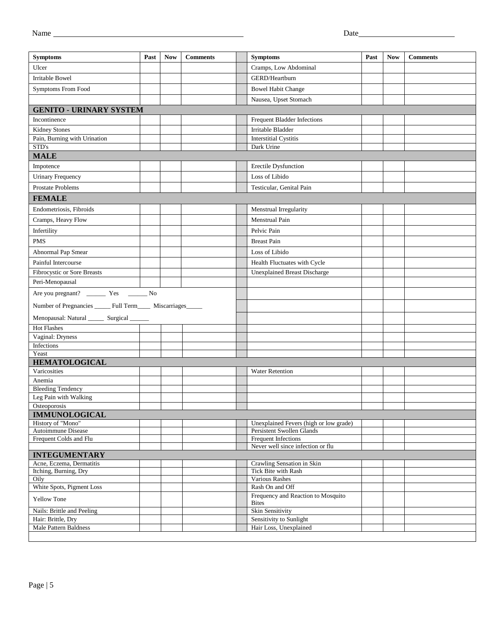| <b>Symptoms</b>                                               | Past | <b>Now</b> | <b>Comments</b> | <b>Symptoms</b>                                                     | Past | <b>Now</b> | <b>Comments</b> |
|---------------------------------------------------------------|------|------------|-----------------|---------------------------------------------------------------------|------|------------|-----------------|
| Ulcer                                                         |      |            |                 | Cramps, Low Abdominal                                               |      |            |                 |
| <b>Irritable Bowel</b>                                        |      |            |                 | GERD/Heartburn                                                      |      |            |                 |
| Symptoms From Food                                            |      |            |                 | <b>Bowel Habit Change</b>                                           |      |            |                 |
|                                                               |      |            |                 | Nausea, Upset Stomach                                               |      |            |                 |
| <b>GENITO - URINARY SYSTEM</b>                                |      |            |                 |                                                                     |      |            |                 |
| Incontinence                                                  |      |            |                 | Frequent Bladder Infections                                         |      |            |                 |
| <b>Kidney Stones</b>                                          |      |            |                 | Irritable Bladder                                                   |      |            |                 |
| Pain, Burning with Urination                                  |      |            |                 | Interstitial Cystitis                                               |      |            |                 |
| STD's                                                         |      |            |                 | Dark Urine                                                          |      |            |                 |
| <b>MALE</b>                                                   |      |            |                 |                                                                     |      |            |                 |
| Impotence                                                     |      |            |                 | Erectile Dysfunction                                                |      |            |                 |
| <b>Urinary Frequency</b>                                      |      |            |                 | Loss of Libido                                                      |      |            |                 |
| <b>Prostate Problems</b>                                      |      |            |                 | Testicular, Genital Pain                                            |      |            |                 |
| <b>FEMALE</b>                                                 |      |            |                 |                                                                     |      |            |                 |
| Endometriosis, Fibroids                                       |      |            |                 | Menstrual Irregularity                                              |      |            |                 |
| Cramps, Heavy Flow                                            |      |            |                 | Menstrual Pain                                                      |      |            |                 |
| Infertility                                                   |      |            |                 | Pelvic Pain                                                         |      |            |                 |
| <b>PMS</b>                                                    |      |            |                 | <b>Breast Pain</b>                                                  |      |            |                 |
| Abnormal Pap Smear                                            |      |            |                 | Loss of Libido                                                      |      |            |                 |
| Painful Intercourse                                           |      |            |                 | Health Fluctuates with Cycle                                        |      |            |                 |
| Fibrocystic or Sore Breasts                                   |      |            |                 | <b>Unexplained Breast Discharge</b>                                 |      |            |                 |
| Peri-Menopausal                                               |      |            |                 |                                                                     |      |            |                 |
|                                                               |      |            |                 |                                                                     |      |            |                 |
| Number of Pregnancies ______ Full Term_____ Miscarriages_____ |      |            |                 |                                                                     |      |            |                 |
| Menopausal: Natural ________ Surgical _______                 |      |            |                 |                                                                     |      |            |                 |
| <b>Hot Flashes</b>                                            |      |            |                 |                                                                     |      |            |                 |
| Vaginal: Dryness                                              |      |            |                 |                                                                     |      |            |                 |
| Infections                                                    |      |            |                 |                                                                     |      |            |                 |
| Yeast                                                         |      |            |                 |                                                                     |      |            |                 |
| <b>HEMATOLOGICAL</b><br>Varicosities                          |      |            |                 |                                                                     |      |            |                 |
| Anemia                                                        |      |            |                 | <b>Water Retention</b>                                              |      |            |                 |
| <b>Bleeding Tendency</b>                                      |      |            |                 |                                                                     |      |            |                 |
| Leg Pain with Walking                                         |      |            |                 |                                                                     |      |            |                 |
| Osteoporosis                                                  |      |            |                 |                                                                     |      |            |                 |
| <b>IMMUNOLOGICAL</b>                                          |      |            |                 |                                                                     |      |            |                 |
| History of "Mono"<br>Autoimmune Disease                       |      |            |                 | Unexplained Fevers (high or low grade)<br>Persistent Swollen Glands |      |            |                 |
| Frequent Colds and Flu                                        |      |            |                 | Frequent Infections                                                 |      |            |                 |
|                                                               |      |            |                 | Never well since infection or flu                                   |      |            |                 |
| <b>INTEGUMENTARY</b>                                          |      |            |                 |                                                                     |      |            |                 |
| Acne, Eczema, Dermatitis<br>Itching, Burning, Dry             |      |            |                 | Crawling Sensation in Skin<br>Tick Bite with Rash                   |      |            |                 |
| Oily                                                          |      |            |                 | Various Rashes                                                      |      |            |                 |
| White Spots, Pigment Loss                                     |      |            |                 | Rash On and Off                                                     |      |            |                 |
| <b>Yellow Tone</b>                                            |      |            |                 | Frequency and Reaction to Mosquito                                  |      |            |                 |
| Nails: Brittle and Peeling                                    |      |            |                 | <b>Bites</b><br>Skin Sensitivity                                    |      |            |                 |
| Hair: Brittle, Dry                                            |      |            |                 | Sensitivity to Sunlight                                             |      |            |                 |
| Male Pattern Baldness                                         |      |            |                 | Hair Loss, Unexplained                                              |      |            |                 |
|                                                               |      |            |                 |                                                                     |      |            |                 |